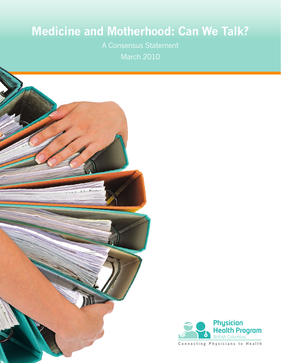# **Medicine and Motherhood: Can We Talk?**

A Consensus Statement March 2010





Connecting Physicians to Health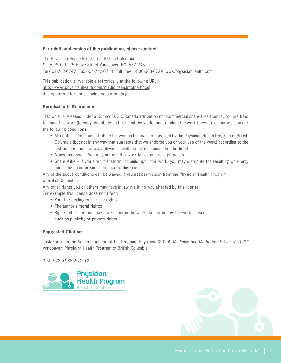#### **For additional copies of this publication, please contact**

The Physician Health Program of British Columbia Suite 980 - 1125 Howe Street Vancouver, BC, V6Z 2K8 Tel 604-742-0747 Fax 604-742-0744 Toll Free 1-800-663-6729 www.physicianhealth.com

This publication is available electronically at the following URL: [http://www.physicianhealth.com/medicineandmotherhood.](http://www.physicianhealth.com/medicineandmotherhood) It is optimized for double-sided colour printing.

#### **Permission to Reproduce**

This work is released under a Commons 2.5 Canada attribution non-commercial share-alike license. You are free: to share this work (to copy, distribute and transmit the work); and to adapt the work to your own purposes under the following conditions:

- Attribution You must attribute the work in the manner specified by the Physician Health Program of British Columbia (but not in any way that suggests that we endorse you or your use of the work) according to the instructions found at www.physicianhealth.com/medicineandmotherhood
- Noncommercial You may not use this work for commercial purposes.
- Share Alike If you alter, transform, or build upon this work, you may distribute the resulting work only under the same or similar licence to this one.

Any of the above conditions can be waived if you get permission from the Physician Health Program of British Columbia.

Any other rights you or others may have in law are in no way affected by this license.

For example this license does not affect:

- Your fair dealing or fair use rights;
- The author's moral rights;
- Rights other persons may have either in the work itself or in how the work is used, such as publicity or privacy rights.

#### **Suggested Citation:**

Task Force on the Accommodation of the Pregnant Physician (2010). *Medicine and Motherhood: Can We Talk?* Vancouver: Physician Health Program of British Columbia.

ISBN 978-0-9865570-0-2



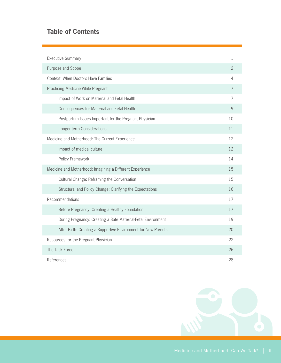# **Table of Contents**

| <b>Executive Summary</b>                                       |                |  |  |
|----------------------------------------------------------------|----------------|--|--|
| Purpose and Scope                                              |                |  |  |
| <b>Context: When Doctors Have Families</b>                     | 4              |  |  |
| Practicing Medicine While Pregnant                             | $\overline{7}$ |  |  |
| Impact of Work on Maternal and Fetal Health                    | $\overline{7}$ |  |  |
| Consequences for Maternal and Fetal Health                     | 9              |  |  |
| Postpartum Issues Important for the Pregnant Physician         | 10             |  |  |
| Longer-term Considerations                                     | 11             |  |  |
| Medicine and Motherhood: The Current Experience                | 12             |  |  |
| Impact of medical culture                                      | 12             |  |  |
| Policy Framework                                               | 14             |  |  |
| Medicine and Motherhood: Imagining a Different Experience      | 15             |  |  |
| Cultural Change: Reframing the Conversation                    | 15             |  |  |
| Structural and Policy Change: Clarifying the Expectations      | 16             |  |  |
| Recommendations                                                | 17             |  |  |
| Before Pregnancy: Creating a Healthy Foundation                | 17             |  |  |
| During Pregnancy: Creating a Safe Maternal-Fetal Environment   | 19             |  |  |
| After Birth: Creating a Supportive Environment for New Parents | 20             |  |  |
| Resources for the Pregnant Physician                           | 22             |  |  |
| The Task Force                                                 | 26             |  |  |
| References                                                     | 28             |  |  |

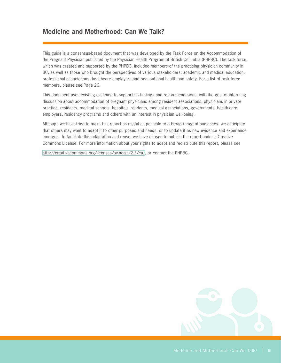# **Medicine and Motherhood: Can We Talk?**

This guide is a consensus-based document that was developed by the Task Force on the Accommodation of the Pregnant Physician published by the Physician Health Program of British Columbia (PHPBC). The task force, which was created and supported by the PHPBC, included members of the practising physician community in BC, as well as those who brought the perspectives of various stakeholders: academic and medical education, professional associations, healthcare employers and occupational health and safety. For a list of task force members, please see Page 26.

This document uses existing evidence to support its findings and recommendations, with the goal of informing discussion about accommodation of pregnant physicians among resident associations, physicians in private practice, residents, medical schools, hospitals, students, medical associations, governments, health-care employers, residency programs and others with an interest in physician well-being.

Although we have tried to make this report as useful as possible to a broad range of audiences, we anticipate that others may want to adapt it to other purposes and needs, or to update it as new evidence and experience emerges. To facilitate this adaptation and reuse, we have chosen to publish the report under a Creative Commons License. For more information about your rights to adapt and redistribute this report, please see

<http://creativecommons.org/licenses/by-nc-sa/2.5/ca/>, or contact the PHPBC.

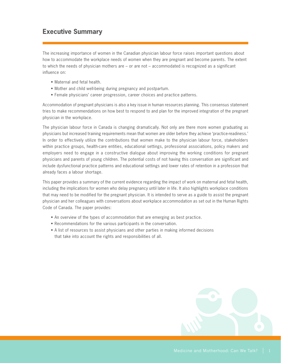# **Executive Summary**

The increasing importance of women in the Canadian physician labour force raises important questions about how to accommodate the workplace needs of women when they are pregnant and become parents. The extent to which the needs of physician mothers are – or are not – accommodated is recognized as a significant influence on:

- Maternal and fetal health.
- • Mother and child well-being during pregnancy and postpartum.
- • Female physicians' career progression, career choices and practice patterns.

Accommodation of pregnant physicians is also a key issue in human resources planning. This consensus statement tries to make recommendations on how best to respond to and plan for the improved integration of the pregnant physician in the workplace.

The physician labour force in Canada is changing dramatically. Not only are there more women graduating as physicians but increased training requirements mean that women are older before they achieve 'practice-readiness.' In order to effectively utilize the contributions that women make to the physician labour force, stakeholders within practice groups, health-care entities, educational settings, professional associations, policy makers and employers need to engage in a constructive dialogue about improving the working conditions for pregnant physicians and parents of young children. The potential costs of not having this conversation are significant and include dysfunctional practice patterns and educational settings and lower rates of retention in a profession that already faces a labour shortage.

This paper provides a summary of the current evidence regarding the impact of work on maternal and fetal health, including the implications for women who delay pregnancy until later in life. It also highlights workplace conditions that may need to be modified for the pregnant physician. It is intended to serve as a guide to assist the pregnant physician and her colleagues with conversations about workplace accommodation as set out in the Human Rights Code of Canada. The paper provides:

- An overview of the types of accommodation that are emerging as best practice.
- Recommendations for the various participants in the conversation.
- A list of resources to assist physicians and other parties in making informed decisions that take into account the rights and responsibilities of all.

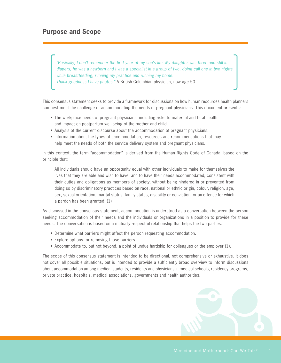# **Purpose and Scope**

*"Basically, I don't remember the first year of my son's life. My daughter was three and still in diapers, he was a newborn and I was a specialist in a group of two, doing call one in two nights while breastfeeding, running my practice and running my home.* 

*Thank goodness I have photos."* A British Columbian physician, now age 50

This consensus statement seeks to provide a framework for discussions on how human resources health planners can best meet the challenge of accommodating the needs of pregnant physicians. This document presents:

- The workplace needs of pregnant physicians, including risks to maternal and fetal health and impact on postpartum well-being of the mother and child.
- Analysis of the current discourse about the accommodation of pregnant physicians.
- Information about the types of accommodation, resources and recommendations that may help meet the needs of both the service delivery system and pregnant physicians.

In this context, the term "accommodation" is derived from the Human Rights Code of Canada, based on the principle that:

 All individuals should have an opportunity equal with other individuals to make for themselves the lives that they are able and wish to have, and to have their needs accommodated, consistent with their duties and obligations as members of society, without being hindered in or prevented from doing so by discriminatory practices based on race, national or ethnic origin, colour, religion, age, sex, sexual orientation, marital status, family status, disability or conviction for an offence for which a pardon has been granted. (1)

As discussed in the consensus statement, accommodation is understood as a conversation between the person seeking accommodation of their needs and the individuals or organizations in a position to provide for these needs. The conversation is based on a mutually respectful relationship that helps the two parties:

- Determine what barriers might affect the person requesting accommodation.
- Explore options for removing those barriers.
- • Accommodate to, but not beyond, a point of undue hardship for colleagues or the employer (1).

The scope of this consensus statement is intended to be directional, not comprehensive or exhaustive. It does not cover all possible situations, but is intended to provide a sufficiently broad overview to inform discussions about accommodation among medical students, residents and physicians in medical schools, residency programs, private practice, hospitals, medical associations, governments and health authorities.

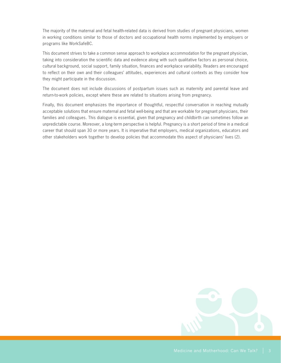The majority of the maternal and fetal health-related data is derived from studies of pregnant physicians, women in working conditions similar to those of doctors and occupational health norms implemented by employers or programs like WorkSafeBC.

This document strives to take a common sense approach to workplace accommodation for the pregnant physician, taking into consideration the scientific data and evidence along with such qualitative factors as personal choice, cultural background, social support, family situation, finances and workplace variability. Readers are encouraged to reflect on their own and their colleagues' attitudes, experiences and cultural contexts as they consider how they might participate in the discussion.

The document does not include discussions of postpartum issues such as maternity and parental leave and return-to-work policies, except where these are related to situations arising from pregnancy.

Finally, this document emphasizes the importance of thoughtful, respectful conversation in reaching mutually acceptable solutions that ensure maternal and fetal well-being and that are workable for pregnant physicians, their families and colleagues. This dialogue is essential, given that pregnancy and childbirth can sometimes follow an unpredictable course. Moreover, a long-term perspective is helpful. Pregnancy is a short period of time in a medical career that should span 30 or more years. It is imperative that employers, medical organizations, educators and other stakeholders work together to develop policies that accommodate this aspect of physicians' lives (2).

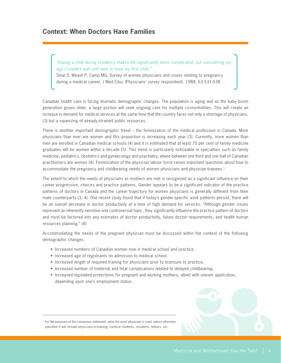## **Context: When Doctors Have Families**

*"Having a child during residency makes life significantly more complicated, but considering my age I couldn't wait until later to have my first child."*

Sinal S, Weavil P, Camp MG. Survey of women physicians and issues relating to pregnancy during a medical career. J Med Educ [Physicians' survey respondent]. 1988; 63:531-538

Canadian health care is facing dramatic demographic changes. The population is aging and as the baby boom generation grows older, a large portion will seek ongoing care for multiple co-morbidities. This will create an increase in demand for medical services at the same time that the country faces not only a shortage of physicians, (3) but a squeezing of already-strained public resources.

There is another important demographic trend – the feminization of the medical profession in Canada. More physicians than ever are women and this proportion is increasing each year (3). Currently, more women than men are enrolled in Canadian medical schools (4) and it is estimated that at least 70 per cent of family medicine graduates will be women within a decade (5). This trend is particularly noticeable in specialties such as family medicine, pediatrics, obstetrics and gynaecology and psychiatry, where between one third and one half of Canadian practitioners are women (4). Feminization of the physician labour force raises important questions about how to accommodate the pregnancy and childbearing needs of women physicians and physician trainees.<sup>1</sup>

The extent to which the needs of physicians as mothers are met is recognized as a significant influence on their career progression, choices and practice patterns. Gender appears to be a significant indicator of the practice patterns of doctors in Canada and the career trajectory for women physicians is generally different from their male counterparts (3, 4). One recent study found that if today's gender-specific work patterns persist, there will be an overall decrease in doctor productivity at a time of high demand for services. "Although gender issues represent an inherently sensitive and controversial topic, they significantly influence the practice pattern of doctors and must be factored into any estimates of doctor productivity, future doctor requirements, and health human resources planning." (4)

Accommodating the needs of the pregnant physician must be discussed within the context of the following demographic changes:

- Increased numbers of Canadian women now in medical school and practice.
- Increased age of registrants on admission to medical school.
- Increased length of required training for physicians prior to licensure to practice.
- Increased number of maternal and fetal complications related to delayed childbearing.
- • Increased legislated protections for pregnant and working mothers, albeit with uneven application, depending upon one's employment status.



<sup>1</sup> For the purposes of this consensus statement, when the word 'physician' is used, unless otherwise specified it will include physicians-in-training, medical students, residents, fellows, etc.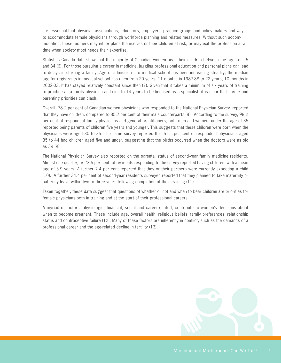It is essential that physician associations, educators, employers, practice groups and policy makers find ways to accommodate female physicians through workforce planning and related measures. Without such accommodation, these mothers may either place themselves or their children at risk, or may exit the profession at a time when society most needs their expertise.

Statistics Canada data show that the majority of Canadian women bear their children between the ages of 25 and 34 (6). For those pursuing a career in medicine, juggling professional education and personal plans can lead to delays in starting a family. Age of admission into medical school has been increasing steadily; the median age for registrants in medical school has risen from 20 years, 11 months in 1987-88 to 22 years, 10 months in 2002-03. It has stayed relatively constant since then (7). Given that it takes a minimum of six years of training to practice as a family physician and nine to 14 years to be licensed as a specialist, it is clear that career and parenting priorities can clash.

Overall, 78.2 per cent of Canadian women physicians who responded to the National Physician Survey reported that they have children, compared to 85.7 per cent of their male counterparts (8). According to the survey, 98.2 per cent of respondent family physicians and general practitioners, both men and women, under the age of 35 reported being parents of children five years and younger. This suggests that these children were born when the physicians were aged 30 to 35. The same survey reported that 61.1 per cent of respondent physicians aged 35 to 44 had children aged five and under, suggesting that the births occurred when the doctors were as old as 39 (9).

The National Physician Survey also reported on the parental status of second-year family medicine residents. Almost one quarter, or 23.5 per cent, of residents responding to the survey reported having children, with a mean age of 3.9 years. A further 7.4 per cent reported that they or their partners were currently expecting a child (10). A further 34.4 per cent of second-year residents surveyed reported that they planned to take maternity or paternity leave within two to three years following completion of their training (11).

Taken together, these data suggest that questions of whether or not and when to bear children are priorities for female physicians both in training and at the start of their professional careers.

A myriad of factors: physiologic, financial, social and career-related, contribute to women's decisions about when to become pregnant. These include age, overall health, religious beliefs, family preferences, relationship status and contraceptive failure (12). Many of these factors are inherently in conflict, such as the demands of a professional career and the age-related decline in fertility (13).

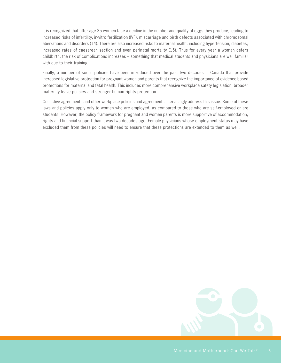It is recognized that after age 35 women face a decline in the number and quality of eggs they produce, leading to increased risks of infertility, in-vitro fertilization (IVF), miscarriage and birth defects associated with chromosomal aberrations and disorders (14). There are also increased risks to maternal health, including hypertension, diabetes, increased rates of caesarean section and even perinatal mortality (15). Thus for every year a woman defers childbirth, the risk of complications increases – something that medical students and physicians are well familiar with due to their training.

Finally, a number of social policies have been introduced over the past two decades in Canada that provide increased legislative protection for pregnant women and parents that recognize the importance of evidence-based protections for maternal and fetal health. This includes more comprehensive workplace safety legislation, broader maternity leave policies and stronger human rights protection.

Collective agreements and other workplace policies and agreements increasingly address this issue. Some of these laws and policies apply only to women who are employed, as compared to those who are self-employed or are students. However, the policy framework for pregnant and women parents is more supportive of accommodation, rights and financial support than it was two decades ago. Female physicians whose employment status may have excluded them from these policies will need to ensure that these protections are extended to them as well.

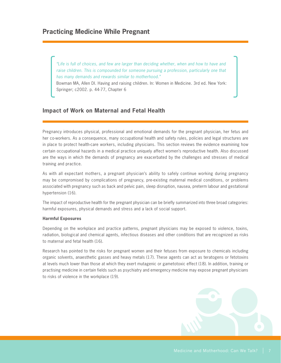*"Life is full of choices, and few are larger than deciding whether, when and how to have and raise children. This is compounded for someone pursuing a profession, particularly one that has many demands and rewards similar to motherhood."*

Bowman MA, Allen DI. Having and raising children. In: Women in Medicine. 3rd ed. New York: Springer; c2002. p. 44-77, Chapter 6

### **Impact of Work on Maternal and Fetal Health**

Pregnancy introduces physical, professional and emotional demands for the pregnant physician, her fetus and her co-workers. As a consequence, many occupational health and safety rules, policies and legal structures are in place to protect health-care workers, including physicians. This section reviews the evidence examining how certain occupational hazards in a medical practice uniquely affect women's reproductive health. Also discussed are the ways in which the demands of pregnancy are exacerbated by the challenges and stresses of medical training and practice.

As with all expectant mothers, a pregnant physician's ability to safely continue working during pregnancy may be compromised by complications of pregnancy, pre-existing maternal medical conditions, or problems associated with pregnancy such as back and pelvic pain, sleep disruption, nausea, preterm labour and gestational hypertension (16).

The impact of reproductive health for the pregnant physician can be briefly summarized into three broad categories: harmful exposures, physical demands and stress and a lack of social support.

#### **Harmful Exposures**

Depending on the workplace and practice patterns, pregnant physicians may be exposed to violence, toxins, radiation, biological and chemical agents, infectious diseases and other conditions that are recognized as risks to maternal and fetal health (16).

Research has pointed to the risks for pregnant women and their fetuses from exposure to chemicals including organic solvents, anaesthetic gasses and heavy metals (17). These agents can act as teratogens or fetotoxins at levels much lower than those at which they exert mutagenic or gametotoxic effect (18). In addition, training or practising medicine in certain fields such as psychiatry and emergency medicine may expose pregnant physicians to risks of violence in the workplace (19).

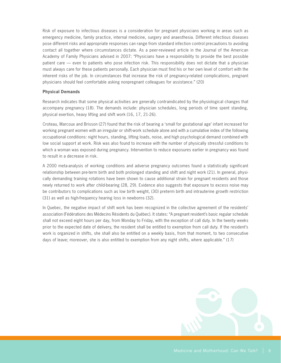Risk of exposure to infectious diseases is a consideration for pregnant physicians working in areas such as emergency medicine, family practice, internal medicine, surgery and anaesthesia. Different infectious diseases pose different risks and appropriate responses can range from standard infection control precautions to avoiding contact all together where circumstances dictate. As a peer-reviewed article in the Journal of the American Academy of Family Physicians advised in 2007: "Physicians have a responsibility to provide the best possible patient care — even to patients who pose infection risk. This responsibility does not dictate that a physician must always care for these patients personally. Each physician must find his or her own level of comfort with the inherent risks of the job. In circumstances that increase the risk of pregnancy-related complications, pregnant physicians should feel comfortable asking nonpregnant colleagues for assistance." (20)

#### **Physical Demands**

Research indicates that some physical activities are generally contraindicated by the physiological changes that accompany pregnancy (18). The demands include: physician schedules, long periods of time spent standing, physical exertion, heavy lifting and shift work (16, 17, 21-26).

Croteau, Marcoux and Brisson (27) found that the risk of bearing a 'small for gestational age' infant increased for working pregnant women with an irregular or shift-work schedule alone and with a cumulative index of the following occupational conditions: night hours, standing, lifting loads, noise, and high psychological demand combined with low social support at work. Risk was also found to increase with the number of physically stressful conditions to which a woman was exposed during pregnancy. Intervention to reduce exposures earlier in pregnancy was found to result in a decrease in risk.

A 2000 meta-analysis of working conditions and adverse pregnancy outcomes found a statistically significant relationship between pre-term birth and both prolonged standing and shift and night work (21). In general, physically demanding training rotations have been shown to cause additional strain for pregnant residents and those newly returned to work after child-bearing (28, 29). Evidence also suggests that exposure to excess noise may be contributors to complications such as low birth weight, (30) preterm birth and intrauterine growth restriction (31) as well as high-frequency hearing loss in newborns (32).

In Quebec, the negative impact of shift work has been recognized in the collective agreement of the residents' association (Fédérations des Médecins Résidents du Québec). It states: "A pregnant resident's basic regular schedule shall not exceed eight hours per day, from Monday to Friday, with the exception of call duty. In the twenty weeks prior to the expected date of delivery, the resident shall be entitled to exemption from call duty. If the resident's work is organized in shifts, she shall also be entitled on a weekly basis, from that moment, to two consecutive days of leave; moreover, she is also entitled to exemption from any night shifts, where applicable." (17)

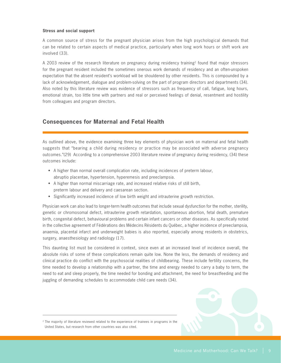#### **Stress and social support**

A common source of stress for the pregnant physician arises from the high psychological demands that can be related to certain aspects of medical practice, particularly when long work hours or shift work are involved (33).

A 2003 review of the research literature on pregnancy during residency training2 found that major stressors for the pregnant resident included the sometimes onerous work demands of residency and an often-unspoken expectation that the absent resident's workload will be shouldered by other residents. This is compounded by a lack of acknowledgement, dialogue and problem-solving on the part of program directors and departments (34). Also noted by this literature review was evidence of stressors such as frequency of call, fatigue, long hours, emotional strain, too little time with partners and real or perceived feelings of denial, resentment and hostility from colleagues and program directors.

### **Consequences for Maternal and Fetal Health**

As outlined above, the evidence examining three key elements of physician work on maternal and fetal health suggests that "bearing a child during residency or practice may be associated with adverse pregnancy outcomes."(29) According to a comprehensive 2003 literature review of pregnancy during residency, (34) these outcomes include:

- A higher than normal overall complication rate, including incidences of preterm labour, abruptio placentae, hypertension, hyperemesis and preeclampsia.
- A higher than normal miscarriage rate, and increased relative risks of still birth, preterm labour and delivery and caesarean section.
- • Significantly increased incidence of low birth weight and intrauterine growth restriction.

Physician work can also lead to longer-term health outcomes that include sexual dysfunction for the mother, sterility, genetic or chromosomal defect, intrauterine growth retardation, spontaneous abortion, fetal death, premature birth, congenital defect, behavioural problems and certain infant cancers or other diseases. As specifically noted in the collective agreement of Fédérations des Médecins Résidents du Québec, a higher incidence of preeclampsia, anaemia, placental infarct and underweight babies is also reported, especially among residents in obstetrics, surgery, anaesthesiology and radiology (17).

This daunting list must be considered in context, since even at an increased level of incidence overall, the absolute risks of some of these complications remain quite low. None the less, the demands of residency and clinical practice do conflict with the psychosocial realities of childbearing. These include fertility concerns, the time needed to develop a relationship with a partner, the time and energy needed to carry a baby to term, the need to eat and sleep properly, the time needed for bonding and attachment, the need for breastfeeding and the juggling of demanding schedules to accommodate child care needs (34).



<sup>2</sup> The majority of literature reviewed related to the experience of trainees in programs in the United States, but research from other countries was also cited.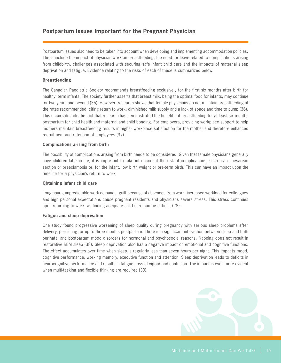### **Postpartum Issues Important for the Pregnant Physician**

Postpartum issues also need to be taken into account when developing and implementing accommodation policies. These include the impact of physician work on breastfeeding, the need for leave related to complications arising from childbirth, challenges associated with securing safe infant child care and the impacts of maternal sleep deprivation and fatigue. Evidence relating to the risks of each of these is summarized below.

#### **Breastfeeding**

The Canadian Paediatric Society recommends breastfeeding exclusively for the first six months after birth for healthy, term infants. The society further asserts that breast milk, being the optimal food for infants, may continue for two years and beyond (35). However, research shows that female physicians do not maintain breastfeeding at the rates recommended, citing return to work, diminished milk supply and a lack of space and time to pump (36). This occurs despite the fact that research has demonstrated the benefits of breastfeeding for at least six months postpartum for child health and maternal and child bonding. For employers, providing workplace support to help mothers maintain breastfeeding results in higher workplace satisfaction for the mother and therefore enhanced recruitment and retention of employees (37).

#### **Complications arising from birth**

The possibility of complications arising from birth needs to be considered. Given that female physicians generally have children later in life, it is important to take into account the risk of complications, such as a caesarean section or preeclampsia or, for the infant, low birth weight or pre-term birth. This can have an impact upon the timeline for a physician's return to work.

#### **Obtaining infant child care**

Long hours, unpredictable work demands, guilt because of absences from work, increased workload for colleagues and high personal expectations cause pregnant residents and physicians severe stress. This stress continues upon returning to work, as finding adequate child care can be difficult (28).

#### **Fatigue and sleep deprivation**

One study found progressive worsening of sleep quality during pregnancy with serious sleep problems after delivery, persisting for up to three months postpartum. There is a significant interaction between sleep and both perinatal and postpartum mood disorders for hormonal and psychosocial reasons. Napping does not result in restorative REM sleep (38). Sleep deprivation also has a negative impact on emotional and cognitive functions. The effect accumulates over time when sleep is regularly less than seven hours per night. This impacts mood, cognitive performance, working memory, executive function and attention. Sleep deprivation leads to deficits in neurocognitive performance and results in fatigue, loss of vigour and confusion. The impact is even more evident when multi-tasking and flexible thinking are required (39).

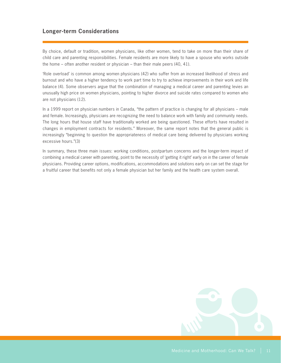### **Longer-term Considerations**

By choice, default or tradition, women physicians, like other women, tend to take on more than their share of child care and parenting responsibilities. Female residents are more likely to have a spouse who works outside the home – often another resident or physician – than their male peers (40, 41).

'Role overload' is common among women physicians (42) who suffer from an increased likelihood of stress and burnout and who have a higher tendency to work part time to try to achieve improvements in their work and life balance (4). Some observers argue that the combination of managing a medical career and parenting levies an unusually high price on women physicians, pointing to higher divorce and suicide rates compared to women who are not physicians (12).

In a 1999 report on physician numbers in Canada, "the pattern of practice is changing for all physicians – male and female. Increasingly, physicians are recognizing the need to balance work with family and community needs. The long hours that house staff have traditionally worked are being questioned. These efforts have resulted in changes in employment contracts for residents." Moreover, the same report notes that the general public is increasingly "beginning to question the appropriateness of medical care being delivered by physicians working excessive hours."(3)

In summary, these three main issues: working conditions, postpartum concerns and the longer-term impact of combining a medical career with parenting, point to the necessity of 'getting it right' early on in the career of female physicians. Providing career options, modifications, accommodations and solutions early on can set the stage for a fruitful career that benefits not only a female physician but her family and the health care system overall.

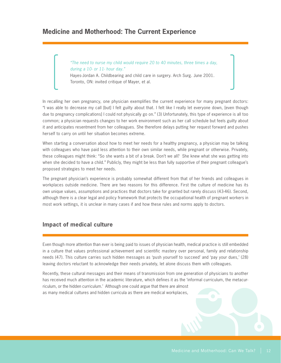# **Medicine and Motherhood: The Current Experience**

*"The need to nurse my child would require 20 to 40 minutes, three times a day, during a 10- or 11- hour day."* 

Hayes-Jordan A. Childbearing and child care in surgery. Arch Surg. June 2001. Toronto, ON: invited critique of Mayer, et al.

In recalling her own pregnancy, one physician exemplifies the current experience for many pregnant doctors: "I was able to decrease my call [but] I felt guilty about that. I felt like I really let everyone down, [even though due to pregnancy complications] I could not physically go on." (3) Unfortunately, this type of experience is all too common; a physician requests changes to her work environment such as her call schedule but feels guilty about it and anticipates resentment from her colleagues. She therefore delays putting her request forward and pushes herself to carry on until her situation becomes extreme.

When starting a conversation about how to meet her needs for a healthy pregnancy, a physician may be talking with colleagues who have paid less attention to their own similar needs, while pregnant or otherwise. Privately, these colleagues might think: "So she wants a bit of a break. Don't we all? She knew what she was getting into when she decided to have a child." Publicly, they might be less than fully supportive of their pregnant colleague's proposed strategies to meet her needs.

The pregnant physician's experience is probably somewhat different from that of her friends and colleagues in workplaces outside medicine. There are two reasons for this difference. First the culture of medicine has its own unique values, assumptions and practices that doctors take for granted but rarely discuss (43-46). Second, although there is a clear legal and policy framework that protects the occupational health of pregnant workers in most work settings, it is unclear in many cases if and how these rules and norms apply to doctors.

### **Impact of medical culture**

Even though more attention than ever is being paid to issues of physician health, medical practice is still embedded in a culture that values professional achievement and scientific mastery over personal, family and relationship needs (47). This culture carries such hidden messages as 'push yourself to succeed' and 'pay your dues,' (28) leaving doctors reluctant to acknowledge their needs privately, let alone discuss them with colleagues.

Recently, these cultural messages and their means of transmission from one generation of physicians to another has received much attention in the academic literature, which defines it as the 'informal curriculum, the metacurriculum, or the hidden curriculum.' Although one could argue that there are almost as many medical cultures and hidden curricula as there are medical workplaces,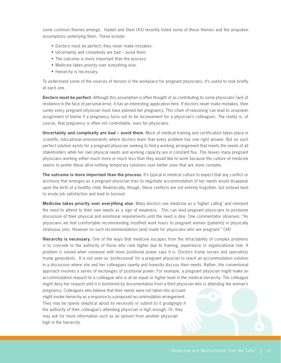some common themes emerge. Haidet and Stein (43) recently listed some of these themes and the unspoken assumptions underlying them. These include:

- Doctors must be perfect; they never make mistakes.
- Uncertainty and complexity are bad avoid them.
- The outcome is more important than the process.
- Medicine takes priority over everything else.
- Hierarchy is necessary.

To understand some of the sources of tension in the workplace for pregnant physicians, it's useful to look briefly at each one.

**Doctors must be perfect.** Although this assumption is often thought of as contributing to some physicians' lack of resilience in the face of personal error, it has an interesting application here. If doctors never make mistakes, then surely every pregnant physician must have planned her pregnancy. This chain of reasoning can lead to unspoken assignment of blame if a pregnancy turns out to be inconvenient for a physician's colleagues. The reality is, of course, that pregnancy is often not controllable, even for physicians.

**Uncertainty and complexity are bad – avoid them.** Much of medical training and certification takes place in scientific educational environments where doctors learn that every problem has one right answer. But no such perfect solution exists for a pregnant physician seeking to find a working arrangement that meets the needs of all stakeholders while her own physical needs and working capacity are in constant flux. This leaves many pregnant physicians working either much more or much less than they would like to work because the culture of medicine seems to prefer these all-or-nothing temporary solutions over better ones that are more complex.

**The outcome is more important than the process.** It's typical in medical culture to expect that any conflict or acrimony that emerges as a pregnant physician tries to negotiate accommodation of her needs would disappear upon the birth of a healthy child. Realistically, though, these conflicts are not entirely forgotten, but instead tend to erode job satisfaction and lead to burnout.

**Medicine takes priority over everything else.** Many doctors see medicine as a 'higher calling' and interpret the need to attend to their own needs as a sign of weakness. This can lead pregnant physicians to postpone discussion of their physical and emotional requirements until the need is dire. One commentator observes: "As physicians we feel comfortable recommending modified work hours to pregnant women [patients] in physically strenuous jobs. However no such recommendations [are] made for physicians who are pregnant." (34)

**Hierarchy is necessary.** One of the ways that medicine escapes from the intractability of complex problems is to concede to the authority of those who rank higher due to training, experience or organizational role. A problem is solved when someone with more positional power says it is. Doctors trump nurses and specialists trump generalists. It is not seen as 'professional' for a pregnant physician to reach an accommodation solution in a discussion where she and her colleagues openly and honestly discuss their needs. Rather, the conventional approach involves a series of exchanges of positional power. For example, a pregnant physician might make an accommodation request to a colleague who is at an equal or higher level in the medical hierarchy. The colleague might deny her request until it is bolstered by documentation from a third physician who is attending the woman's

pregnancy. Colleagues who believe that their needs were not taken into account might invoke hierarchy as a response to a proposed accommodation arrangement. They may be openly skeptical about its necessity or submit to it grudgingly if the authority of their colleague's attending physician is high enough. Or, they may ask for more information such as an opinion from another physician high in the hierarchy.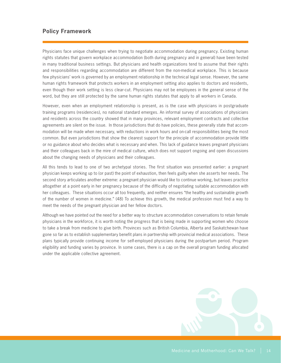### **Policy Framework**

Physicians face unique challenges when trying to negotiate accommodation during pregnancy. Existing human rights statutes that govern workplace accommodation (both during pregnancy and in general) have been tested in many traditional business settings. But physicians and health organizations tend to assume that their rights and responsibilities regarding accommodation are different from the non-medical workplace. This is because few physicians' work is governed by an employment relationship in the technical legal sense. However, the same human rights framework that protects workers in an employment setting also applies to doctors and residents, even though their work setting is less clear-cut. Physicians may not be employees in the general sense of the word, but they are still protected by the same human rights statutes that apply to all workers in Canada.

However, even when an employment relationship is present, as is the case with physicians in postgraduate training programs (residencies), no national standard emerges. An informal survey of associations of physicians and residents across the country showed that in many provinces, relevant employment contracts and collective agreements are silent on the issue. In those jurisdictions that do have policies, these generally state that accommodation will be made when necessary, with reductions in work hours and on-call responsibilities being the most common. But even jurisdictions that show the clearest support for the principle of accommodation provide little or no guidance about who decides what is necessary and when. This lack of guidance leaves pregnant physicians and their colleagues back in the mire of medical culture, which does not support ongoing and open discussions about the changing needs of physicians and their colleagues.

All this tends to lead to one of two archetypal stories. The first situation was presented earlier: a pregnant physician keeps working up to (or past) the point of exhaustion, then feels guilty when she asserts her needs. The second story articulates another extreme: a pregnant physician would like to continue working, but leaves practice altogether at a point early in her pregnancy because of the difficulty of negotiating suitable accommodation with her colleagues. These situations occur all too frequently, and neither ensures "the healthy and sustainable growth of the number of women in medicine." (48) To achieve this growth, the medical profession must find a way to meet the needs of the pregnant physician and her fellow doctors.

Although we have pointed out the need for a better way to structure accommodation conversations to retain female physicians in the workforce, it is worth noting the progress that is being made in supporting women who choose to take a break from medicine to give birth. Provinces such as British Columbia, Alberta and Saskatchewan have gone so far as to establish supplementary benefit plans in partnership with provincial medical associations. These plans typically provide continuing income for self-employed physicians during the postpartum period. Program eligibility and funding varies by province. In some cases, there is a cap on the overall program funding allocated under the applicable collective agreement.

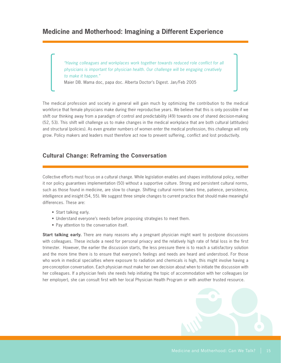# **Medicine and Motherhood: Imagining a Different Experience**

*"Having colleagues and workplaces work together towards reduced role conflict for all physicians is important for physician health. Our challenge will be engaging creatively to make it happen."*

Maier DB. Mama doc, papa doc. Alberta Doctor's Digest. Jan/Feb 2005

The medical profession and society in general will gain much by optimizing the contribution to the medical workforce that female physicians make during their reproductive years. We believe that this is only possible if we shift our thinking away from a paradigm of control and predictability (49) towards one of shared decision-making (52, 53). This shift will challenge us to make changes in the medical workplace that are both cultural (attitudes) and structural (policies). As even greater numbers of women enter the medical profession, this challenge will only grow. Policy makers and leaders must therefore act now to prevent suffering, conflict and lost productivity.

### **Cultural Change: Reframing the Conversation**

Collective efforts must focus on a cultural change. While legislation enables and shapes institutional policy, neither it nor policy guarantees implementation (50) without a supportive culture. Strong and persistent cultural norms, such as those found in medicine, are slow to change. Shifting cultural norms takes time, patience, persistence, intelligence and insight (54, 55). We suggest three simple changes to current practice that should make meaningful differences. These are:

- Start talking early.
- Understand everyone's needs before proposing strategies to meet them.
- Pay attention to the conversation itself.

**Start talking early.** There are many reasons why a pregnant physician might want to postpone discussions with colleagues. These include a need for personal privacy and the relatively high rate of fetal loss in the first trimester. However, the earlier the discussion starts, the less pressure there is to reach a satisfactory solution and the more time there is to ensure that everyone's feelings and needs are heard and understood. For those who work in medical specialties where exposure to radiation and chemicals is high, this might involve having a pre-conception conversation. Each physician must make her own decision about when to initiate the discussion with her colleagues. If a physician feels she needs help initiating the topic of accommodation with her colleagues (or her employer), she can consult first with her local Physician Health Program or with another trusted resource.

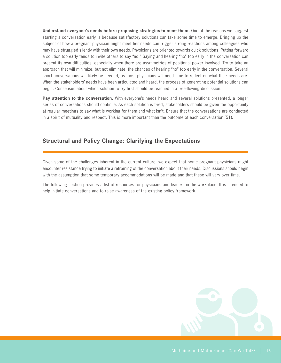**Understand everyone's needs before proposing strategies to meet them.** One of the reasons we suggest starting a conversation early is because satisfactory solutions can take some time to emerge. Bringing up the subject of how a pregnant physician might meet her needs can trigger strong reactions among colleagues who may have struggled silently with their own needs. Physicians are oriented towards quick solutions. Putting forward a solution too early tends to invite others to say "no." Saying and hearing "no" too early in the conversation can present its own difficulties, especially when there are asymmetries of positional power involved. Try to take an approach that will minimize, but not eliminate, the chances of hearing "no" too early in the conversation. Several short conversations will likely be needed, as most physicians will need time to reflect on what their needs are. When the stakeholders' needs have been articulated and heard, the process of generating potential solutions can begin. Consensus about which solution to try first should be reached in a free-flowing discussion.

Pay attention to the conversation. With everyone's needs heard and several solutions presented, a longer series of conversations should continue. As each solution is tried, stakeholders should be given the opportunity at regular meetings to say what is working for them and what isn't. Ensure that the conversations are conducted in a spirit of mutuality and respect. This is more important than the outcome of each conversation (51).

### **Structural and Policy Change: Clarifying the Expectations**

Given some of the challenges inherent in the current culture, we expect that some pregnant physicians might encounter resistance trying to initiate a reframing of the conversation about their needs. Discussions should begin with the assumption that some temporary accommodations will be made and that these will vary over time.

The following section provides a list of resources for physicians and leaders in the workplace. It is intended to help initiate conversations and to raise awareness of the existing policy framework.

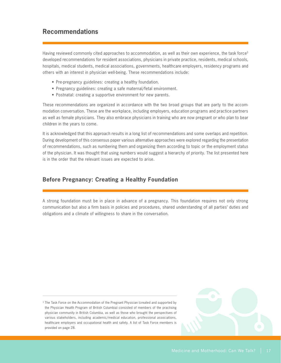# **Recommendations**

Having reviewed commonly cited approaches to accommodation, as well as their own experience, the task force<sup>3</sup> developed recommendations for resident associations, physicians in private practice, residents, medical schools, hospitals, medical students, medical associations, governments, healthcare employers, residency programs and others with an interest in physician well-being. These recommendations include:

- Pre-pregnancy guidelines: creating a healthy foundation.
- Pregnancy guidelines: creating a safe maternal/fetal environment.
- Postnatal: creating a supportive environment for new parents.

These recommendations are organized in accordance with the two broad groups that are party to the accommodation conversation. These are the workplace, including employers, education programs and practice partners as well as female physicians. They also embrace physicians in training who are now pregnant or who plan to bear children in the years to come.

It is acknowledged that this approach results in a long list of recommendations and some overlaps and repetition. During development of this consensus paper various alternative approaches were explored regarding the presentation of recommendations, such as numbering them and organizing them according to topic or the employment status of the physician. It was thought that using numbers would suggest a hierarchy of priority. The list presented here is in the order that the relevant issues are expected to arise.

### **Before Pregnancy: Creating a Healthy Foundation**

A strong foundation must be in place in advance of a pregnancy. This foundation requires not only strong communication but also a firm basis in policies and procedures, shared understanding of all parties' duties and obligations and a climate of willingness to share in the conversation.

<sup>3</sup> The Task Force on the Accommodation of the Pregnant Physician (created and supported by the Physician Health Program of British Columbia) consisted of members of the practising physician community in British Columbia, as well as those who brought the perspectives of various stakeholders, including academic/medical education, professional associations, healthcare employers and occupational health and safety. A list of Task Force members is provided on page 28.

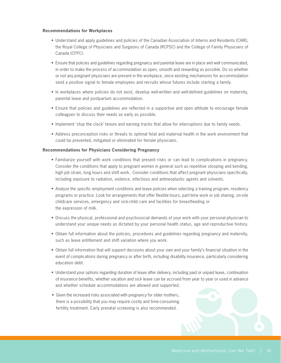#### **Recommendations for Workplaces**

- • Understand and apply guidelines and policies of the Canadian Association of Interns and Residents (CAIR), the Royal College of Physicians and Surgeons of Canada (RCPSC) and the College of Family Physicians of Canada (CFPC).
- • Ensure that policies and guidelines regarding pregnancy and parental leave are in place and well communicated, in order to make the process of accommodation as open, smooth and rewarding as possible. Do so whether or not any pregnant physicians are present in the workplace, since existing mechanisms for accommodation send a positive signal to female employees and recruits whose futures include starting a family.
- In workplaces where policies do not exist, develop well-written and well-defined guidelines on maternity, parental leave and postpartum accommodation.
- Ensure that policies and guidelines are reflected in a supportive and open attitude to encourage female colleagues to discuss their needs as early as possible.
- Implement 'stop the clock' tenure and earning tracks that allow for interruptions due to family needs.
- • Address preconception risks or threats to optimal fetal and maternal health in the work environment that could be prevented, mitigated or eliminated for female physicians.

#### **Recommendations for Physicians Considering Pregnancy**

- Familiarize yourself with work conditions that present risks or can lead to complications in pregnancy. Consider the conditions that apply to pregnant women in general such as repetitive stooping and bending, high job strain, long hours and shift work. Consider conditions that affect pregnant physicians specifically, including exposure to radiation, violence, infectious and antineoplastic agents and solvents.
- • Analyze the specific employment conditions and leave policies when selecting a training program, residency programs or practice. Look for arrangements that offer flexible hours, part-time work or job sharing, on-site childcare services, emergency and sick-child care and facilities for breastfeeding or the expression of milk.
- Discuss the physical, professional and psychosocial demands of your work with your personal physician to understand your unique needs as dictated by your personal health status, age and reproductive history.
- • Obtain full information about the policies, procedures and guidelines regarding pregnancy and maternity, such as leave entitlement and shift variation where you work.
- • Obtain full information that will support decisions about your own and your family's financial situation in the event of complications during pregnancy or after birth, including disability insurance, particularly considering education debt.
- • Understand your options regarding duration of leave after delivery, including paid or unpaid leave, continuation of insurance benefits, whether vacation and sick leave can be accrued from year to year or used in advance and whether schedule accommodations are allowed and supported.
- Given the increased risks associated with pregnancy for older mothers, there is a possibility that you may require costly and time-consuming fertility treatment. Early prenatal screening is also recommended.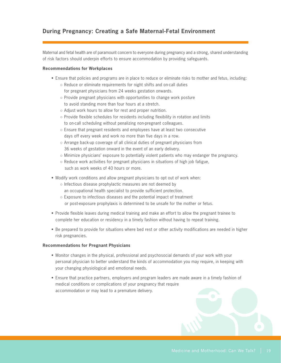### **During Pregnancy: Creating a Safe Maternal-Fetal Environment**

Maternal and fetal health are of paramount concern to everyone during pregnancy and a strong, shared understanding of risk factors should underpin efforts to ensure accommodation by providing safeguards.

#### **Recommendations for Workplaces**

- Ensure that policies and programs are in place to reduce or eliminate risks to mother and fetus, including:
	- Reduce or eliminate requirements for night shifts and on-call duties for pregnant physicians from 24 weeks gestation onwards.
	- Provide pregnant physicians with opportunities to change work posture to avoid standing more than four hours at a stretch.
	- Adjust work hours to allow for rest and proper nutrition.
	- Provide flexible schedules for residents including flexibility in rotation and limits to on-call scheduling without penalizing non-pregnant colleagues.
	- Ensure that pregnant residents and employees have at least two consecutive days off every week and work no more than five days in a row.
	- Arrange back-up coverage of all clinical duties of pregnant physicians from 36 weeks of gestation onward in the event of an early delivery.
	- Minimize physicians' exposure to potentially violent patients who may endanger the pregnancy.
	- $\circ$  Reduce work activities for pregnant physicians in situations of high job fatigue, such as work weeks of 40 hours or more.
- Modify work conditions and allow pregnant physicians to opt out of work when:
	- Infectious disease prophylactic measures are not deemed by an occupational health specialist to provide sufficient protection.
	- Exposure to infectious diseases and the potential impact of treatment or post-exposure prophylaxis is determined to be unsafe for the mother or fetus.
- Provide flexible leaves during medical training and make an effort to allow the pregnant trainee to complete her education or residency in a timely fashion without having to repeat training.
- Be prepared to provide for situations where bed rest or other activity modifications are needed in higher risk pregnancies.

#### **Recommendations for Pregnant Physicians**

- Monitor changes in the physical, professional and psychosocial demands of your work with your personal physician to better understand the kinds of accommodation you may require, in keeping with your changing physiological and emotional needs.
- Ensure that practice partners, employers and program leaders are made aware in a timely fashion of medical conditions or complications of your pregnancy that require accommodation or may lead to a premature delivery.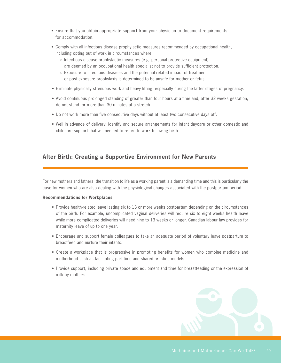- Ensure that you obtain appropriate support from your physician to document requirements for accommodation.
- • Comply with all infectious disease prophylactic measures recommended by occupational health, including opting out of work in circumstances where:
	- Infectious disease prophylactic measures (e.g. personal protective equipment) are deemed by an occupational health specialist not to provide sufficient protection.
	- Exposure to infectious diseases and the potential related impact of treatment or post-exposure prophylaxis is determined to be unsafe for mother or fetus.
- • Eliminate physically strenuous work and heavy lifting, especially during the latter stages of pregnancy.
- • Avoid continuous prolonged standing of greater than four hours at a time and, after 32 weeks gestation, do not stand for more than 30 minutes at a stretch.
- Do not work more than five consecutive days without at least two consecutive days off.
- Well in advance of delivery, identify and secure arrangements for infant daycare or other domestic and childcare support that will needed to return to work following birth.

### **After Birth: Creating a Supportive Environment for New Parents**

For new mothers and fathers, the transition to life as a working parent is a demanding time and this is particularly the case for women who are also dealing with the physiological changes associated with the postpartum period.

#### **Recommendations for Workplaces**

- Provide health-related leave lasting six to 13 or more weeks postpartum depending on the circumstances of the birth. For example, uncomplicated vaginal deliveries will require six to eight weeks health leave while more complicated deliveries will need nine to 13 weeks or longer. Canadian labour law provides for maternity leave of up to one year.
- Encourage and support female colleagues to take an adequate period of voluntary leave postpartum to breastfeed and nurture their infants.
- • Create a workplace that is progressive in promoting benefits for women who combine medicine and motherhood such as facilitating part-time and shared practice models.
- Provide support, including private space and equipment and time for breastfeeding or the expression of milk by mothers.

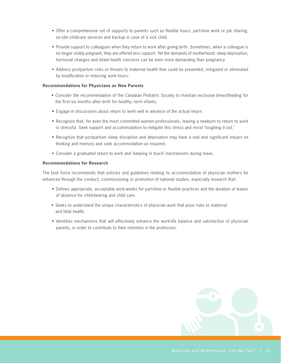- Offer a comprehensive set of supports to parents such as flexible hours, part-time work or job sharing, on-site childcare services and backup in case of a sick child.
- Provide support to colleagues when they return to work after giving birth. Sometimes, when a colleague is no longer visibly pregnant, they are offered less support. Yet the demands of motherhood: sleep deprivation, hormonal changes and infant health concerns can be even more demanding than pregnancy.
- Address postpartum risks or threats to maternal health that could be prevented, mitigated or eliminated by modification or reducing work hours.

#### **Recommendations for Physicians as New Parents**

- • Consider the recommendation of the Canadian Pediatric Society to maintain exclusive breastfeeding for the first six months after birth for healthy, term infants.
- Engage in discussions about return to work well in advance of the actual return.
- Recognize that, for even the most committed women professionals, leaving a newborn to return to work is stressful. Seek support and accommodation to mitigate this stress and resist 'toughing it out.'
- Recognize that postpartum sleep disruption and deprivation may have a real and significant impact on thinking and memory and seek accommodation as required.
- • Consider a graduated return to work and 'keeping in touch' mechanisms during leave.

#### **Recommendations for Research**

The task force recommends that policies and guidelines relating to accommodation of physician mothers be enhanced through the conduct, commissioning or promotion of national studies, especially research that:

- • Defines appropriate, acceptable work-weeks for part-time or flexible practices and the duration of leaves of absence for child-bearing and child care.
- Seeks to understand the unique characteristics of physician work that pose risks to maternal and fetal health.
- Identifies mechanisms that will effectively enhance the work-life balance and satisfaction of physician parents, in order to contribute to their retention in the profession.

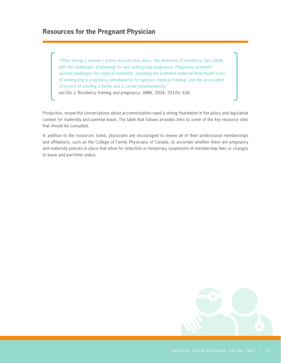*"Often during a woman's prime reproductive years, the demands of residency can collide with the challenges of planning for and undergoing pregnancy. Pregnancy presents special challenges for medical residents, including the potential maternal-fetal health risks of undergoing a pregnancy simultaneous to rigorous medical training, and the associated stressors of starting a family and a career simultaneously."* van Dis J. Residency training and pregnancy. JAMA. 2004; 291(5): 636.

Productive, respectful conversations about accommodation need a strong foundation in the policy and legislative context for maternity and parental leave. The table that follows provides links to some of the key resource sites that should be consulted.

In addition to the resources listed, physicians are encouraged to review all of their professional memberships and affiliations, such as the College of Family Physicians of Canada, to ascertain whether there are pregnancy and maternity policies in place that allow for reduction or temporary suspension of membership fees or changes to leave and part-time status.

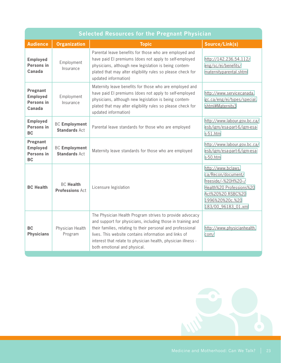| <b>Selected Resources for the Pregnant Physician</b>   |                                              |                                                                                                                                                                                                                                                                                                                                                  |                                                                                                                                                              |  |  |
|--------------------------------------------------------|----------------------------------------------|--------------------------------------------------------------------------------------------------------------------------------------------------------------------------------------------------------------------------------------------------------------------------------------------------------------------------------------------------|--------------------------------------------------------------------------------------------------------------------------------------------------------------|--|--|
| <b>Audience</b>                                        | <b>Organization</b>                          | <b>Topic</b>                                                                                                                                                                                                                                                                                                                                     | Source/Link(s)                                                                                                                                               |  |  |
| <b>Employed</b><br>Persons in<br>Canada                | Employment<br>Insurance                      | Parental leave benefits for those who are employed and<br>have paid El premiums (does not apply to self-employed<br>physicians, although new legislation is being contem-<br>plated that may alter eligibility rules so please check for<br>updated information)                                                                                 | http://142.236.54.112/<br>eng/sc/ei/benefits/<br>maternityparental.shtml                                                                                     |  |  |
| Pregnant<br><b>Employed</b><br>Persons in<br>Canada    | Employment<br>Insurance                      | Maternity leave benefits for those who are employed and<br>have paid El premiums (does not apply to self-employed<br>physicians, although new legislation is being contem-<br>plated that may alter eligibility rules so please check for<br>updated information)                                                                                | http://www.servicecanada.<br>gc.ca/eng/ei/types/special.<br>shtml#Maternity3                                                                                 |  |  |
| <b>Employed</b><br>Persons in<br><b>BC</b>             | <b>BC</b> Employment<br><b>Standards Act</b> | Parental leave standards for those who are employed                                                                                                                                                                                                                                                                                              | http://www.labour.gov.bc.ca/<br>esb/igm/esa-part-6/igm-esa-<br>$s-51.htm$                                                                                    |  |  |
| Pregnant<br><b>Employed</b><br>Persons in<br><b>BC</b> | <b>BC Employment</b><br><b>Standards Act</b> | Maternity leave standards for those who are employed                                                                                                                                                                                                                                                                                             | http://www.labour.gov.bc.ca/<br>esb/igm/esa-part-6/igm-esa-<br>s-50.htm                                                                                      |  |  |
| <b>BC Health</b>                                       | <b>BC Health</b><br><b>Professions Act</b>   | Licensure legislation                                                                                                                                                                                                                                                                                                                            | http://www.bclaws.<br>ca/Recon/document/<br>freeside/--%20H%20--/<br>Health%20 Professions%20<br>Act%20%20 RSBC%20<br>1996%20%20c.%20<br>183/00 96183 01.xml |  |  |
| <b>BC</b><br><b>Physicians</b>                         | Physician Health<br>Program                  | The Physician Health Program strives to provide advocacy<br>and support for physicians, including those in training and<br>their families, relating to their personal and professional<br>lives. This website contains information and links of<br>interest that relate to physician health, physician illness -<br>both emotional and physical. | http://www.physicianhealth.<br>com/                                                                                                                          |  |  |

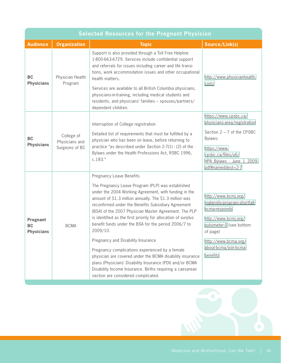| <b>Selected Resources for the Pregnant Physician</b> |                                                |                                                                                                                                                                                                                                                                                                                                                                                                                                                                                                                                                                                                                                                                                                                                                                                      |                                                                                                                                                                                                    |  |  |
|------------------------------------------------------|------------------------------------------------|--------------------------------------------------------------------------------------------------------------------------------------------------------------------------------------------------------------------------------------------------------------------------------------------------------------------------------------------------------------------------------------------------------------------------------------------------------------------------------------------------------------------------------------------------------------------------------------------------------------------------------------------------------------------------------------------------------------------------------------------------------------------------------------|----------------------------------------------------------------------------------------------------------------------------------------------------------------------------------------------------|--|--|
| <b>Audience</b>                                      | <b>Organization</b>                            | <b>Topic</b>                                                                                                                                                                                                                                                                                                                                                                                                                                                                                                                                                                                                                                                                                                                                                                         | Source/Link(s)                                                                                                                                                                                     |  |  |
| <b>BC</b><br><b>Physicians</b>                       | Physician Health<br>Program                    | Support is also provided through a Toll Free Helpline<br>1-800-663-6729. Services include confidential support<br>and referrals for issues including career and life transi-<br>tions, work accommodation issues and other occupational<br>health matters.<br>Services are available to all British Columbia physicians,<br>physicians-in-training, including medical students and<br>residents, and physicians' families - spouses/partners/<br>dependent children.                                                                                                                                                                                                                                                                                                                 | http://www.physicianhealth.<br>com/                                                                                                                                                                |  |  |
| <b>BC</b><br><b>Physicians</b>                       | College of<br>Physicians and<br>Surgeons of BC | Interruption of College registration<br>Detailed list of requirements that must be fulfilled by a<br>physician who has been on leave, before returning to<br>practice "as described under Section 2-7(1) - (2) of the<br>Bylaws under the Health Professions Act, RSBC 1996,<br>c.183."                                                                                                                                                                                                                                                                                                                                                                                                                                                                                              | https://www.cpsbc.ca/<br>physicians-area/registration<br>Section $2 - 7$ of the CPSBC<br>Bylaws:<br>https://www.<br>cpsbc.ca/files/u6/<br>HPA_Bylaws_-_June_1_2009.<br>pdf#nameddest=2-7           |  |  |
| Pregnant<br><b>BC</b><br><b>Physicians</b>           | <b>BCMA</b>                                    | <b>Pregnancy Leave Benefits</b><br>The Pregnancy Leave Program (PLP) was established<br>under the 2004 Working Agreement, with funding in the<br>amount of \$1.3 million annually. The \$1.3 million was<br>reconfirmed under the Benefits Subsidiary Agreement<br>(BSA) of the 2007 Physician Master Agreement. The PLP<br>is identified as the first priority for allocation of surplus<br>benefit funds under the BSA for the period 2006/7 to<br>2009/10.<br>Pregnancy and Disability Insurance<br>Pregnancy complications experienced by a female<br>physician are covered under the BCMA disability insurance<br>plans (Physicians' Disability Insurance (PDI) and/or BCMA<br>Disability Income Insurance. Births requiring a caesarean<br>section are considered complicated. | http://www.bcmj.org/<br>maternity-program-shortfall-<br>bcma-responds<br>http://www.bcmj.org/<br>pulsimeter-0 (see bottom<br>of page)<br>http://www.bcma.org/<br>about-bcma/join-bcma-<br>benefits |  |  |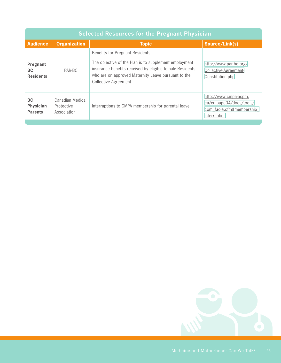| <b>Selected Resources for the Pregnant Physician</b> |                                               |                                                                                                                                                                                                                                             |                                                                                              |  |  |
|------------------------------------------------------|-----------------------------------------------|---------------------------------------------------------------------------------------------------------------------------------------------------------------------------------------------------------------------------------------------|----------------------------------------------------------------------------------------------|--|--|
| <b>Audience</b>                                      | <b>Organization</b>                           | <b>Topic</b>                                                                                                                                                                                                                                | Source/Link(s)                                                                               |  |  |
| Pregnant<br><b>BC</b><br><b>Residents</b>            | PAR-BC                                        | <b>Benefits for Pregnant Residents</b><br>The objective of the Plan is to supplement employment<br>insurance benefits received by eligible female Residents<br>who are on approved Maternity Leave pursuant to the<br>Collective Agreement. | http://www.par-bc.org/<br>Collective-Agreement-<br>Constitution.php                          |  |  |
| <b>BC</b><br><b>Physician</b><br><b>Parents</b>      | Canadian Medical<br>Protective<br>Association | Interruptions to CMPA membership for parental leave                                                                                                                                                                                         | http://www.cmpa-acpm.<br>ca/cmpapd04/docs/tools/<br>com faq-e.cfm#membership<br>interruption |  |  |

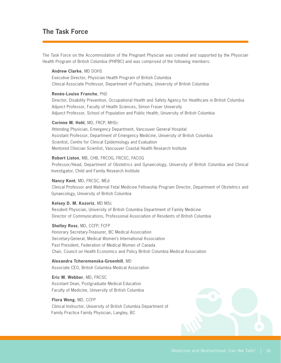# **The Task Force**

The Task Force on the Accommodation of the Pregnant Physician was created and supported by the Physician Health Program of British Columbia (PHPBC) and was comprised of the following members:

#### **Andrew Clarke**, MD DOHS

Executive Director, Physician Health Program of British Columbia Clinical Associate Professor, Department of Psychiatry, University of British Columbia

#### **Renée-Louise Franche**, PhD

Director, Disability Prevention, Occupational Health and Safety Agency for Healthcare in British Columbia Adjunct Professor, Faculty of Health Sciences, Simon Fraser University Adjunct Professor, School of Population and Public Health, University of British Columbia

#### **Corinne M. Hohl**, MD, FRCP, MHSc

Attending Physician, Emergency Department, Vancouver General Hospital Assistant Professor, Department of Emergency Medicine, University of British Columbia Scientist, Centre for Clinical Epidemiology and Evaluation Mentored Clinician Scientist, Vancouver Coastal Health Research Institute

#### **Robert Liston**, MB, CHB, FRCOG, FRCSC, FACOG

Professor/Head, Department of Obstetrics and Gynaecology, University of British Columbia and Clinical Investigator, Child and Family Research Institute

#### **Nancy Kent**, MD, FRCSC, MEd

Clinical Professor and Maternal Fetal Medicine Fellowship Program Director, Department of Obstetrics and Gynaecology, University of British Columbia

#### **Kelsey D. M. Kozoriz**, MD MSc

Resident Physician, University of British Columbia Department of Family Medicine Director of Communications, Professional Association of Residents of British Columbia

**Shelley Ross**, MD, CCFP, FCFP Honorary Secretary-Treasurer, BC Medical Association Secretary-General, Medical Women's International Association Past President, Federation of Medical Women of Canada Chair, Council on Health Economics and Policy British Columbia Medical Association

**Alexandra Tcheremenska-Greenhill**, MD Associate CEO, British Columbia Medical Association

**Eric M. Webber**, MD, FRCSC Assistant Dean, Postgraduate Medical Education Faculty of Medicine, University of British Columbia

#### **Flora Wong**, MD, CCFP

Clinical Instructor, University of British Columbia Department of Family Practice Family Physician, Langley, BC

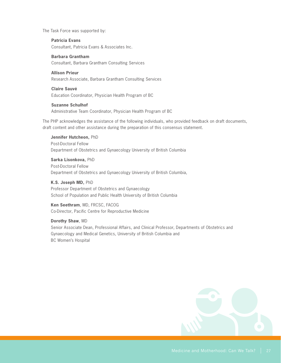The Task Force was supported by:

#### **Patricia Evans**

Consultant, Patricia Evans & Associates Inc.

#### **Barbara Grantham**

Consultant, Barbara Grantham Consulting Services

#### **Allison Prieur**

Research Associate, Barbara Grantham Consulting Services

#### **Claire Sauvé**

Education Coordinator, Physician Health Program of BC

#### **Suzanne Schulhof**

Administrative Team Coordinator, Physician Health Program of BC

The PHP acknowledges the assistance of the following individuals, who provided feedback on draft documents, draft content and other assistance during the preparation of this consensus statement.

**Jennifer Hutcheon,** PhD Post-Doctoral Fellow Department of Obstetrics and Gynaecology University of British Columbia

**Sarka Lisonkova,** PhD Post-Doctoral Fellow Department of Obstetrics and Gynaecology University of British Columbia,

**K.S. Joseph MD,** PhD Professor Department of Obstetrics and Gynaecology School of Population and Public Health University of British Columbia

#### **Ken Seethram**, MD, FRCSC, FACOG Co-Director, Pacific Centre for Reproductive Medicine

**Dorothy Shaw**, MD Senior Associate Dean, Professional Affairs, and Clinical Professor, Departments of Obstetrics and Gynaecology and Medical Genetics, University of British Columbia and BC Women's Hospital

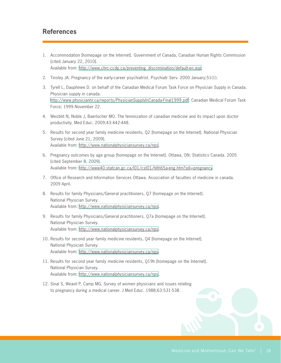# **References**

- 1. Accommodation [homepage on the Internet]. Government of Canada, Canadian Human Rights Commission [cited January 22, 2010]. Available from: [http://www.chrc-ccdp.ca/preventing\\_discrimination/default-en.asp.](http://www.chrc-ccdp.ca/preventing_discrimination/default-en.asp)
- 2. Tinsley JA. Pregnancy of the early-career psychiatrist. Psychiatr Serv. 2000 January;51(1).
- 3. Tyrell L, Dauphinee D. on behalf of the Canadian Medical Forum Task Force on Physician Supply in Canada. Physician supply in canada. <http://www.physicianhr.ca/reports/PhysicianSupplyInCanada-Final1999.pdf>. Canadian Medical Forum Task Force; 1999 November 22.
- 4. Weizblit N, Noble J, Baerlocher MO. The feminization of canadian medicine and its impact upon doctor productivity. Med Educ. 2009;43:442-448.
- 5. Results for second year family medicine residents, Q2 [homepage on the Internet]. National Physician Survey [cited June 21, 2009]. Available from: <http://www.nationalphysiciansurvey.ca/nps>.
- 6. Pregnancy outcomes by age group [homepage on the Internet]. Ottawa, ON: Statistics Canada. 2005 [cited September 8, 2009]. Available from: [http://www40.statcan.gc.ca/l01/cst01/hlth65a-eng.htm?sdi=pregnanc](http://www40.statcan.gc.ca/l01/cst01/hlth65a-eng.htm?sdi=pregnancy)y.
- 7. Office of Research and Information Services Ottawa. Association of faculties of medicine in canada. 2009 April.
- 8. Results for family Physicians/General practitioners, Q7 [homepage on the Internet]. National Physician Survey. Available from: <http://www.nationalphysiciansurvey.ca/nps>.
- 9. Results for family Physicians/General practitioners, Q7a [homepage on the Internet]. National Physician Survey. Available from: <http://www.nationalphysiciansurvey.ca/nps>.
- 10. Results for second year family medicine residents, Q4 [homepage on the Internet]. National Physician Survey. Available from: <http://www.nationalphysiciansurvey.ca/nps>.
- 11. Results for second year family medicine residents, Q19h [homepage on the Internet]. National Physician Survey. Available from: <http://www.nationalphysiciansurvey.ca/nps>.
- 12. Sinal S, Weavil P, Camp MG. Survey of women physicians and issues relating to pregnancy during a medical career. J Med Educ. 1988;63:531-538.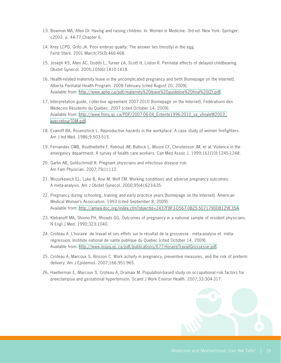- 13. Bowman MA, Allen DI. Having and raising children. In: Women in Medicine. 3rd ed. New York: Springer; c2002. p. 44-77,Chapter 6.
- 14. Krey LCPD, Grifo JA. Poor embryo quality: The answer lies (mostly) in the egg. Fertil Steril. 2001 March;75(3):466-468.
- 15. Joseph KS, Allen AC, Dodds L, Turner LA, Scott H, Liston R. Perinatal effects of delayed childbearing. Obstet Gynecol. 2005;105(6):1410-1418.
- 16. Health-related maternity leave in the uncomplicated pregnancy and birth [homepage on the Internet]. Alberta Perinatal Health Program. 2008 February [cited August 20, 2009]. Available from: [http://www.aphp.ca/pdf/maternity%20leave%20guideline%20final%20\(2\).pdf](http://www.aphp.ca/pdf/maternity%20leave%20guideline%20final%20(2).pdf).
- 17. Interpretation guide, collective agreement 2007-2010 [homepage on the Internet]. Fédérations des Médecins Résidents du Québec. 2007 [cited October 14, 2009]. Available from: [http://www.fmrq.qc.ca/PDF/2007-06-04\\_Entente1996-2010\\_va\\_vfinaleW2003\\_](http://www.fmrq.qc.ca/PDF/2007-06-04_Entente1996-2010_va_vfinaleW2003_avecretourTDM.pdf) [avecretourTDM.pdf](http://www.fmrq.qc.ca/PDF/2007-06-04_Entente1996-2010_va_vfinaleW2003_avecretourTDM.pdf).
- 18. Evanoff BA, Rosenstock L. Reproductive hazards in the workplace: A case study of women firefighters. Am J Ind Med. 1986;9:503-515.
- 19. Fernandes CMB, Bouthiellette F, Raboud JM, Bullock L, Moore CF, Christenson JM, et al. Violence in the emergency department: A survey of health care workers. Can Med Assoc J. 1999;161(10):1245-1248.
- 20. Garlin AB, Goldschmidt R. Pregnant physicians and infectious disease risk. Am Fam Physician. 2007;75(1):112.
- 21. Mozurkewich EL, Luke B, Anvi M, Wolf FM. Working conditions and adverse pregnancy outcomes: A meta-analysis. Am J Obstet Gynecol. 2000;95(4):623-635.
- 22. Pregnancy during schooling, training and early practice years [homepage on the Internet]. American Medical Women's Association. 1993 [cited September 8, 2009]. Available from: <http://amwa-doc.org/index.cfm?objectId=2437F8F3-D567-0B25-5071790DB129E35A>.
- 23. Klebanoff MA, Shiono PH, Rhoads GG. Outcomes of pregnancy in a national sample of resident physicians. N Engl J Med. 1990;323:1040.
- 24. Croteau A. L'horaire de travail et ses effets sur le résultat de la grossesse méta-analyse et métarégression. Institute national de sante publique du Quebec [cited October 14, 2009]. Available from: [http://www.inspq.qc.ca/pdf/publications/677-HoraireTravailGrossesse.pdf.](http://www.inspq.qc.ca/pdf/publications/677-HoraireTravailGrossesse.pdf)
- 25. Croteau A, Marcoux S, Brisson C. Work activity in pregnancy, preventive measures, and the risk of preterm delivery. Am J Epidemiol. 2007;166:951-965.
- 26. Haelterman E, Marcoux S, Croteau A, Dramaix M. Population-based study on occupational risk factors for preeclampsia and gestational hypertension. Scand J Work Environ Health. 2007;33:304-317.

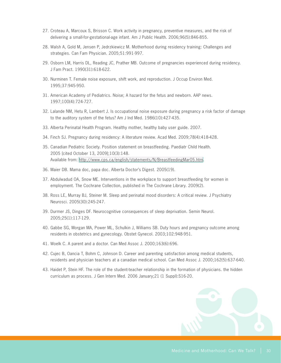- 27. Croteau A, Marcoux S, Brisson C. Work activity in pregnancy, preventive measures, and the risk of delivering a small-for-gestational-age infant. Am J Public Health. 2006;96(5):846-855.
- 28. Walsh A, Gold M, Jensen P, Jedrzkiewicz M. Motherhood during residency training: Challenges and strategies. Can Fam Physician. 2005;51:991-997.
- 29. Osborn LM, Harris DL, Reading JC, Prather MB. Outcome of pregnancies experienced during residency. J Fam Pract. 1990(31):618-622.
- 30. Nurminen T. Female noise exposure, shift work, and reproduction. J Occup Environ Med. 1995;37:945-950.
- 31. American Academy of Pediatrics. Noise; A hazard for the fetus and newborn. AAP news. 1997;100(4):724-727.
- 32. Lalande NM, Hetu R, Lambert J. Is occupational noise exposure during pregnancy a risk factor of damage to the auditory system of the fetus? Am J Ind Med. 1986(10):427-435.
- 33. Alberta Perinatal Health Program. Healthy mother, healthy baby user guide. 2007.
- 34. Finch SJ. Pregnancy during residency: A literature review. Acad Med. 2009;78(4):418-428.
- 35. Canadian Pediatric Society. Position statement on breastfeeding. Paediatr Child Health. 2005 [cited October 13, 2009];10(3):148. Available from: [http://www.cps.ca/english/statements/N/BreastfeedingMar05.ht](http://www.cps.ca/english/statements/N/BreastfeedingMar05.htm)m.
- 36. Maier DB. Mama doc, papa doc. Alberta Doctor's Digest. 2005(19).
- 37. Abdulwadud OA, Snow ME. Interventions in the workplace to support breastfeeding for women in employment. The Cochrane Collection, published in The Cochrane Library. 2009(2).
- 38. Ross LE, Murray BJ, Steiner M. Sleep and perinatal mood disorders: A critical review. J Psychiatry Neurosci. 2005(30):245-247.
- 39. Durmer JS, Dinges DF. Neurocognitive consequences of sleep deprivation. Semin Neurol. 2005;25(1):117-129.
- 40. Gabbe SG, Morgan MA, Power ML, Schulkin J, Williams SB. Duty hours and pregnancy outcome among residents in obstetrics and gynecology. Obstet Gynecol. 2003;102:948-951.
- 41. Woelk C. A parent and a doctor. Can Med Assoc J. 2000;163(6):696.
- 42. Cujec B, Oancia T, Bohm C, Johnson D. Career and parenting satisfaction among medical students, residents and physician teachers at a canadian medical school. Can Med Assoc J. 2000;162(5):637-640.
- 43. Haidet P, Stein HF. The role of the student-teacher relationship in the formation of physicians. the hidden curriculum as process. J Gen Intern Med. 2006 January;21 (1 Suppl):S16-20.